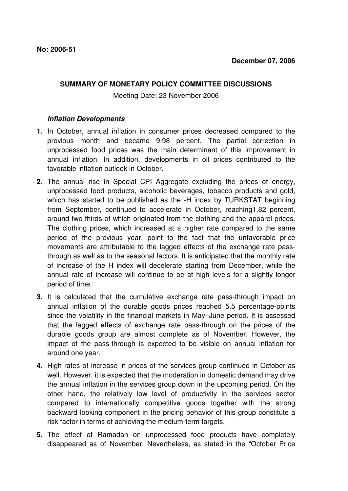## **SUMMARY OF MONETARY POLICY COMMITTEE DISCUSSIONS**

Meeting Date: 23 November 2006

## **Inflation Developments**

- **1.** In October, annual inflation in consumer prices decreased compared to the previous month and became 9.98 percent. The partial correction in unprocessed food prices was the main determinant of this improvement in annual inflation. In addition, developments in oil prices contributed to the favorable inflation outlook in October.
- **2.** The annual rise in Special CPI Aggregate excluding the prices of energy, unprocessed food products, alcoholic beverages, tobacco products and gold, which has started to be published as the -H index by TURKSTAT beginning from September, continued to accelerate in October, reaching1.82 percent, around two-thirds of which originated from the clothing and the apparel prices. The clothing prices, which increased at a higher rate compared to the same period of the previous year, point to the fact that the unfavorable price movements are attributable to the lagged effects of the exchange rate passthrough as well as to the seasonal factors. It is anticipated that the monthly rate of increase of the H index will decelerate starting from December, while the annual rate of increase will continue to be at high levels for a slightly longer period of time.
- **3.** It is calculated that the cumulative exchange rate pass-through impact on annual inflation of the durable goods prices reached 5.5 percentage-points since the volatility in the financial markets in May–June period. It is assessed that the lagged effects of exchange rate pass-through on the prices of the durable goods group are almost complete as of November. However, the impact of the pass-through is expected to be visible on annual inflation for around one year.
- **4.** High rates of increase in prices of the services group continued in October as well. However, it is expected that the moderation in domestic demand may drive the annual inflation in the services group down in the upcoming period. On the other hand, the relatively low level of productivity in the services sector compared to internationally competitive goods together with the strong backward looking component in the pricing behavior of this group constitute a risk factor in terms of achieving the medium-term targets.
- **5.** The effect of Ramadan on unprocessed food products have completely disappeared as of November. Nevertheless, as stated in the "October Price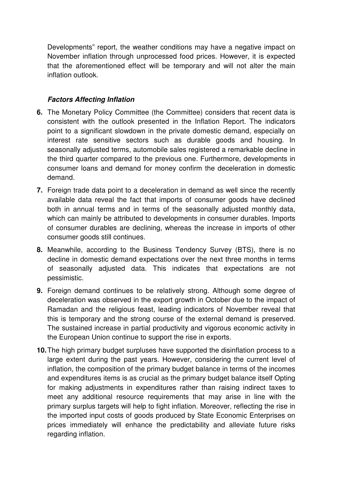Developments" report, the weather conditions may have a negative impact on November inflation through unprocessed food prices. However, it is expected that the aforementioned effect will be temporary and will not alter the main inflation outlook.

## **Factors Affecting Inflation**

- **6.** The Monetary Policy Committee (the Committee) considers that recent data is consistent with the outlook presented in the Inflation Report. The indicators point to a significant slowdown in the private domestic demand, especially on interest rate sensitive sectors such as durable goods and housing. In seasonally adjusted terms, automobile sales registered a remarkable decline in the third quarter compared to the previous one. Furthermore, developments in consumer loans and demand for money confirm the deceleration in domestic demand.
- **7.** Foreign trade data point to a deceleration in demand as well since the recently available data reveal the fact that imports of consumer goods have declined both in annual terms and in terms of the seasonally adjusted monthly data, which can mainly be attributed to developments in consumer durables. Imports of consumer durables are declining, whereas the increase in imports of other consumer goods still continues.
- **8.** Meanwhile, according to the Business Tendency Survey (BTS), there is no decline in domestic demand expectations over the next three months in terms of seasonally adjusted data. This indicates that expectations are not pessimistic.
- **9.** Foreign demand continues to be relatively strong. Although some degree of deceleration was observed in the export growth in October due to the impact of Ramadan and the religious feast, leading indicators of November reveal that this is temporary and the strong course of the external demand is preserved. The sustained increase in partial productivity and vigorous economic activity in the European Union continue to support the rise in exports.
- **10.** The high primary budget surpluses have supported the disinflation process to a large extent during the past years. However, considering the current level of inflation, the composition of the primary budget balance in terms of the incomes and expenditures items is as crucial as the primary budget balance itself Opting for making adjustments in expenditures rather than raising indirect taxes to meet any additional resource requirements that may arise in line with the primary surplus targets will help to fight inflation. Moreover, reflecting the rise in the imported input costs of goods produced by State Economic Enterprises on prices immediately will enhance the predictability and alleviate future risks regarding inflation.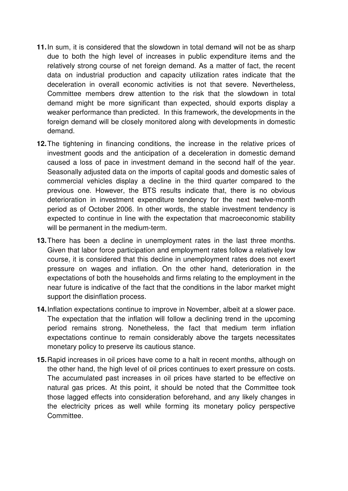- **11.** In sum, it is considered that the slowdown in total demand will not be as sharp due to both the high level of increases in public expenditure items and the relatively strong course of net foreign demand. As a matter of fact, the recent data on industrial production and capacity utilization rates indicate that the deceleration in overall economic activities is not that severe. Nevertheless, Committee members drew attention to the risk that the slowdown in total demand might be more significant than expected, should exports display a weaker performance than predicted. In this framework, the developments in the foreign demand will be closely monitored along with developments in domestic demand.
- **12.** The tightening in financing conditions, the increase in the relative prices of investment goods and the anticipation of a deceleration in domestic demand caused a loss of pace in investment demand in the second half of the year. Seasonally adjusted data on the imports of capital goods and domestic sales of commercial vehicles display a decline in the third quarter compared to the previous one. However, the BTS results indicate that, there is no obvious deterioration in investment expenditure tendency for the next twelve-month period as of October 2006. In other words, the stable investment tendency is expected to continue in line with the expectation that macroeconomic stability will be permanent in the medium-term.
- **13.** There has been a decline in unemployment rates in the last three months. Given that labor force participation and employment rates follow a relatively low course, it is considered that this decline in unemployment rates does not exert pressure on wages and inflation. On the other hand, deterioration in the expectations of both the households and firms relating to the employment in the near future is indicative of the fact that the conditions in the labor market might support the disinflation process.
- **14.** Inflation expectations continue to improve in November, albeit at a slower pace. The expectation that the inflation will follow a declining trend in the upcoming period remains strong. Nonetheless, the fact that medium term inflation expectations continue to remain considerably above the targets necessitates monetary policy to preserve its cautious stance.
- **15.** Rapid increases in oil prices have come to a halt in recent months, although on the other hand, the high level of oil prices continues to exert pressure on costs. The accumulated past increases in oil prices have started to be effective on natural gas prices. At this point, it should be noted that the Committee took those lagged effects into consideration beforehand, and any likely changes in the electricity prices as well while forming its monetary policy perspective Committee.